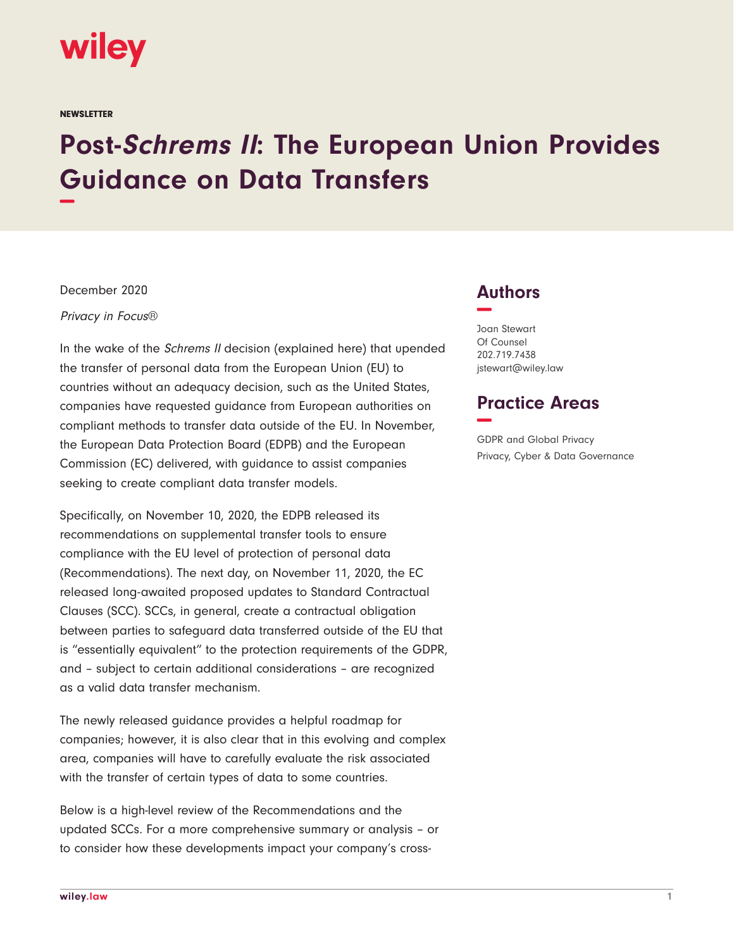

**NEWSLETTER** 

# **Post-Schrems II: The European Union Provides Guidance on Data Transfers −**

December 2020

Privacy in Focus®

In the wake of the Schrems II decision (explained here) that upended the transfer of personal data from the European Union (EU) to countries without an adequacy decision, such as the United States, companies have requested guidance from European authorities on compliant methods to transfer data outside of the EU. In November, the European Data Protection Board (EDPB) and the European Commission (EC) delivered, with guidance to assist companies seeking to create compliant data transfer models.

Specifically, on November 10, 2020, the EDPB released its recommendations on supplemental transfer tools to ensure compliance with the EU level of protection of personal data (Recommendations). The next day, on November 11, 2020, the EC released long-awaited proposed updates to Standard Contractual Clauses (SCC). SCCs, in general, create a contractual obligation between parties to safeguard data transferred outside of the EU that is "essentially equivalent" to the protection requirements of the GDPR, and – subject to certain additional considerations – are recognized as a valid data transfer mechanism.

The newly released guidance provides a helpful roadmap for companies; however, it is also clear that in this evolving and complex area, companies will have to carefully evaluate the risk associated with the transfer of certain types of data to some countries.

Below is a high-level review of the Recommendations and the updated SCCs. For a more comprehensive summary or analysis – or to consider how these developments impact your company's cross-

### **Authors −**

Joan Stewart Of Counsel 202.719.7438 jstewart@wiley.law

## **Practice Areas −**

GDPR and Global Privacy Privacy, Cyber & Data Governance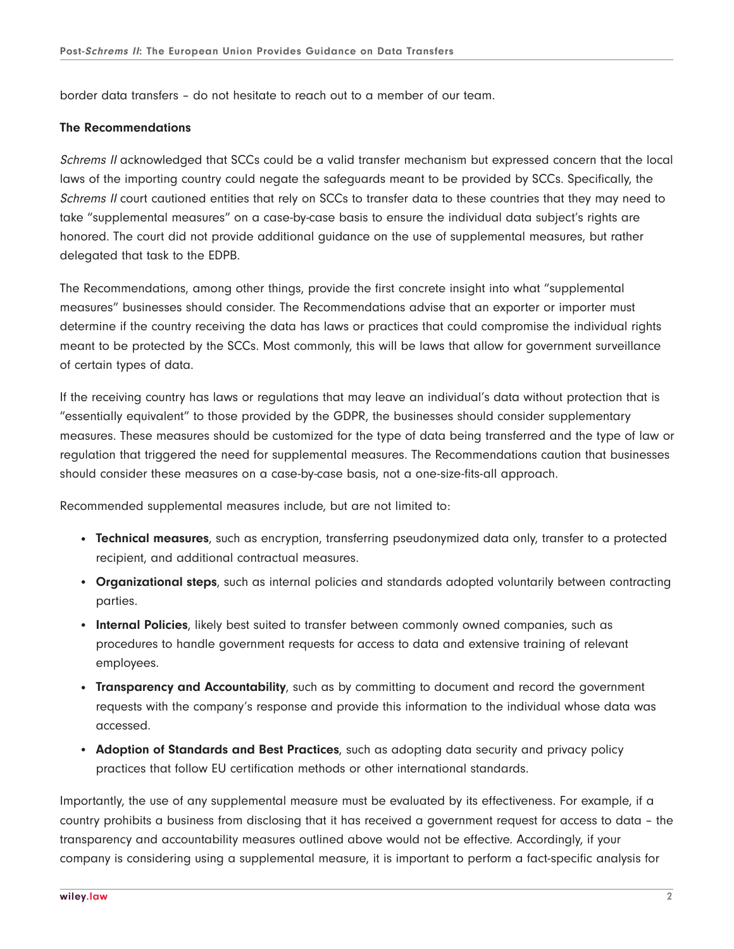border data transfers – do not hesitate to reach out to a member of our team.

#### **The Recommendations**

Schrems II acknowledged that SCCs could be a valid transfer mechanism but expressed concern that the local laws of the importing country could negate the safeguards meant to be provided by SCCs. Specifically, the Schrems II court cautioned entities that rely on SCCs to transfer data to these countries that they may need to take "supplemental measures" on a case-by-case basis to ensure the individual data subject's rights are honored. The court did not provide additional guidance on the use of supplemental measures, but rather delegated that task to the EDPB.

The Recommendations, among other things, provide the first concrete insight into what "supplemental measures" businesses should consider. The Recommendations advise that an exporter or importer must determine if the country receiving the data has laws or practices that could compromise the individual rights meant to be protected by the SCCs. Most commonly, this will be laws that allow for government surveillance of certain types of data.

If the receiving country has laws or regulations that may leave an individual's data without protection that is "essentially equivalent" to those provided by the GDPR, the businesses should consider supplementary measures. These measures should be customized for the type of data being transferred and the type of law or regulation that triggered the need for supplemental measures. The Recommendations caution that businesses should consider these measures on a case-by-case basis, not a one-size-fits-all approach.

Recommended supplemental measures include, but are not limited to:

- **Technical measures**, such as encryption, transferring pseudonymized data only, transfer to a protected recipient, and additional contractual measures.
- **Organizational steps**, such as internal policies and standards adopted voluntarily between contracting parties.
- **Internal Policies**, likely best suited to transfer between commonly owned companies, such as procedures to handle government requests for access to data and extensive training of relevant employees.
- **Transparency and Accountability**, such as by committing to document and record the government requests with the company's response and provide this information to the individual whose data was accessed.
- **Adoption of Standards and Best Practices**, such as adopting data security and privacy policy practices that follow EU certification methods or other international standards.

Importantly, the use of any supplemental measure must be evaluated by its effectiveness. For example, if a country prohibits a business from disclosing that it has received a government request for access to data – the transparency and accountability measures outlined above would not be effective. Accordingly, if your company is considering using a supplemental measure, it is important to perform a fact-specific analysis for